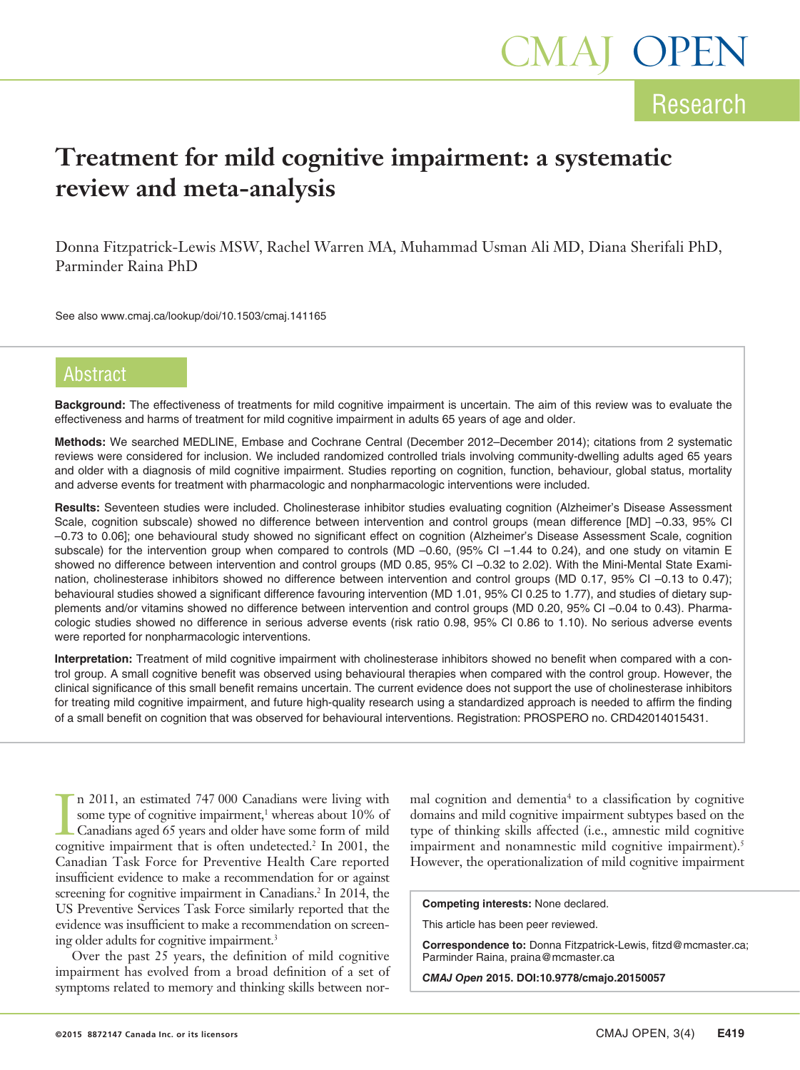# **Treatment for mild cognitive impairment: a systematic review and meta-analysis**

Donna Fitzpatrick-Lewis MSW, Rachel Warren MA, Muhammad Usman Ali MD, Diana Sherifali PhD, Parminder Raina PhD

See also www.cmaj.ca/lookup/doi/10.1503/cmaj.141165

# **Abstract**

**Background:** The effectiveness of treatments for mild cognitive impairment is uncertain. The aim of this review was to evaluate the effectiveness and harms of treatment for mild cognitive impairment in adults 65 years of age and older.

**Methods:** We searched MEDLINE, Embase and Cochrane Central (December 2012–December 2014); citations from 2 systematic reviews were considered for inclusion. We included randomized controlled trials involving community-dwelling adults aged 65 years and older with a diagnosis of mild cognitive impairment. Studies reporting on cognition, function, behaviour, global status, mortality and adverse events for treatment with pharmacologic and nonpharmacologic interventions were included.

**Results:** Seventeen studies were included. Cholinesterase inhibitor studies evaluating cognition (Alzheimer's Disease Assessment Scale, cognition subscale) showed no difference between intervention and control groups (mean difference [MD] –0.33, 95% CI –0.73 to 0.06]; one behavioural study showed no significant effect on cognition (Alzheimer's Disease Assessment Scale, cognition subscale) for the intervention group when compared to controls (MD -0.60, (95% CI -1.44 to 0.24), and one study on vitamin E showed no difference between intervention and control groups (MD 0.85, 95% CI –0.32 to 2.02). With the Mini-Mental State Examination, cholinesterase inhibitors showed no difference between intervention and control groups (MD 0.17, 95% CI -0.13 to 0.47); behavioural studies showed a significant difference favouring intervention (MD 1.01, 95% CI 0.25 to 1.77), and studies of dietary supplements and/or vitamins showed no difference between intervention and control groups (MD 0.20, 95% CI –0.04 to 0.43). Pharmacologic studies showed no difference in serious adverse events (risk ratio 0.98, 95% CI 0.86 to 1.10). No serious adverse events were reported for nonpharmacologic interventions.

**Interpretation:** Treatment of mild cognitive impairment with cholinesterase inhibitors showed no benefit when compared with a control group. A small cognitive benefit was observed using behavioural therapies when compared with the control group. However, the clinical significance of this small benefit remains uncertain. The current evidence does not support the use of cholinesterase inhibitors for treating mild cognitive impairment, and future high-quality research using a standardized approach is needed to affirm the finding of a small benefit on cognition that was observed for behavioural interventions. Registration: PROSPERO no. CRD42014015431.

In 2011, an estimated 747 000 Canadians were living with<br>some type of cognitive impairment,<sup>1</sup> whereas about 10% of<br>Canadians aged 65 years and older have some form of mild<br>cognitive impairment that is often undetected.<sup>2</sup> n 2011, an estimated 747 000 Canadians were living with some type of cognitive impairment,<sup>1</sup> whereas about 10% of Canadians aged 65 years and older have some form of mild Canadian Task Force for Preventive Health Care reported insufficient evidence to make a recommendation for or against screening for cognitive impairment in Canadians.<sup>2</sup> In 2014, the US Preventive Services Task Force similarly reported that the evidence was insufficient to make a recommendation on screening older adults for cognitive impairment.3

Over the past 25 years, the definition of mild cognitive impairment has evolved from a broad definition of a set of symptoms related to memory and thinking skills between nor-

mal cognition and dementia<sup>4</sup> to a classification by cognitive domains and mild cognitive impairment subtypes based on the type of thinking skills affected (i.e., amnestic mild cognitive impairment and nonamnestic mild cognitive impairment).<sup>5</sup> However, the operationalization of mild cognitive impairment

**Competing interests:** None declared.

This article has been peer reviewed.

**Correspondence to:** Donna Fitzpatrick-Lewis, fitzd@mcmaster.ca; Parminder Raina, praina@mcmaster.ca

*CMAJ Open* **2015. DOI:10.9778/cmajo.20150057**

Research

MAJ OPEN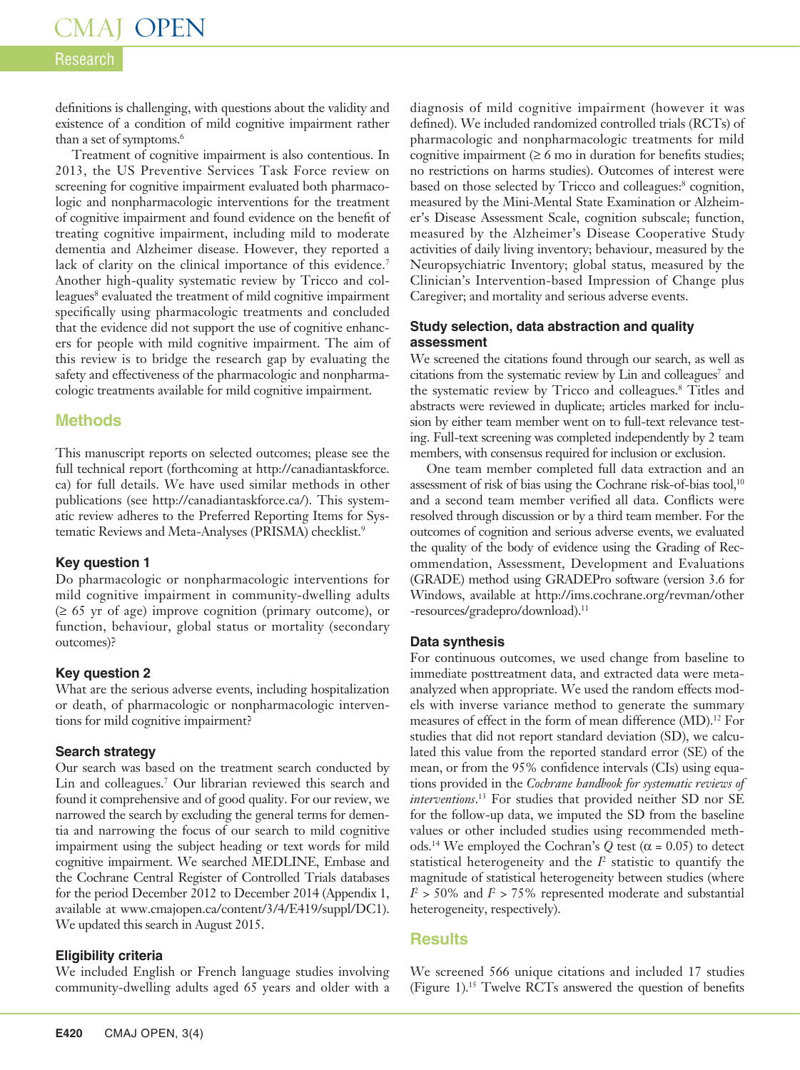# Research

definitions is challenging, with questions about the validity and existence of a condition of mild cognitive impairment rather than a set of symptoms.<sup>6</sup>

Treatment of cognitive impairment is also contentious. In 2013, the US Preventive Services Task Force review on screening for cognitive impairment evaluated both pharmacologic and nonpharmacologic interventions for the treatment of cognitive impairment and found evidence on the benefit of treating cognitive impairment, including mild to moderate dementia and Alzheimer disease. However, they reported a lack of clarity on the clinical importance of this evidence.<sup>7</sup> Another high-quality systematic review by Tricco and colleagues<sup>8</sup> evaluated the treatment of mild cognitive impairment specifically using pharmacologic treatments and concluded that the evidence did not support the use of cognitive enhancers for people with mild cognitive impairment. The aim of this review is to bridge the research gap by evaluating the safety and effectiveness of the pharmacologic and nonpharmacologic treatments available for mild cognitive impairment.

# **Methods**

This manuscript reports on selected outcomes; please see the full technical report (forthcoming at http://canadiantaskforce. ca) for full details. We have used similar methods in other publications (see http://canadiantaskforce.ca/). This systematic review adheres to the Preferred Reporting Items for Systematic Reviews and Meta-Analyses (PRISMA) checklist.<sup>9</sup>

#### **Key question 1**

Do pharmacologic or nonpharmacologic interventions for mild cognitive impairment in community-dwelling adults (≥ 65 yr of age) improve cognition (primary outcome), or function, behaviour, global status or mortality (secondary outcomes)?

# **Key question 2**

What are the serious adverse events, including hospitalization or death, of pharmacologic or nonpharmacologic interventions for mild cognitive impairment?

# **Search strategy**

Our search was based on the treatment search conducted by Lin and colleagues.7 Our librarian reviewed this search and found it comprehensive and of good quality. For our review, we narrowed the search by excluding the general terms for dementia and narrowing the focus of our search to mild cognitive impairment using the subject heading or text words for mild cognitive impairment. We searched MEDLINE, Embase and the Cochrane Central Register of Controlled Trials databases for the period December 2012 to December 2014 (Appendix 1, available at www.cmajopen.ca/content/3/4/E419/suppl/DC1). We updated this search in August 2015.

# **Eligibility criteria**

We included English or French language studies involving community-dwelling adults aged 65 years and older with a diagnosis of mild cognitive impairment (however it was defined). We included randomized controlled trials (RCTs) of pharmacologic and nonpharmacologic treatments for mild cognitive impairment  $(≥ 6$  mo in duration for benefits studies; no restrictions on harms studies). Outcomes of interest were based on those selected by Tricco and colleagues:<sup>8</sup> cognition, measured by the Mini-Mental State Examination or Alzheimer's Disease Assessment Scale, cognition subscale; function, measured by the Alzheimer's Disease Cooperative Study activities of daily living inventory; behaviour, measured by the Neuropsychiatric Inventory; global status, measured by the Clinician's Intervention-based Impression of Change plus Caregiver; and mortality and serious adverse events.

#### **Study selection, data abstraction and quality assessment**

We screened the citations found through our search, as well as citations from the systematic review by Lin and colleagues<sup>7</sup> and the systematic review by Tricco and colleagues.8 Titles and abstracts were reviewed in duplicate; articles marked for inclusion by either team member went on to full-text relevance testing. Full-text screening was completed independently by 2 team members, with consensus required for inclusion or exclusion.

One team member completed full data extraction and an assessment of risk of bias using the Cochrane risk-of-bias tool,<sup>10</sup> and a second team member verified all data. Conflicts were resolved through discussion or by a third team member. For the outcomes of cognition and serious adverse events, we evaluated the quality of the body of evidence using the Grading of Recommendation, Assessment, Development and Evaluations (GRADE) method using GRADEPro software (version 3.6 for Windows, available at http://ims.cochrane.org/revman/other -resources/gradepro/download). 11

# **Data synthesis**

For continuous outcomes, we used change from baseline to immediate posttreatment data, and extracted data were metaanalyzed when appropriate. We used the random effects models with inverse variance method to generate the summary measures of effect in the form of mean difference (MD).<sup>12</sup> For studies that did not report standard deviation (SD), we calculated this value from the reported standard error (SE) of the mean, or from the 95% confidence intervals (CIs) using equations provided in the *Cochrane handbook for systematic reviews of interventions*. 13 For studies that provided neither SD nor SE for the follow-up data, we imputed the SD from the baseline values or other included studies using recommended methods.<sup>14</sup> We employed the Cochran's  $Q$  test ( $\alpha$  = 0.05) to detect statistical heterogeneity and the  $I<sup>2</sup>$  statistic to quantify the magnitude of statistical heterogeneity between studies (where  $I^2$  > 50% and  $I^2$  > 75% represented moderate and substantial heterogeneity, respectively).

# **Results**

We screened 566 unique citations and included 17 studies (Figure 1).15 Twelve RCTs answered the question of benefits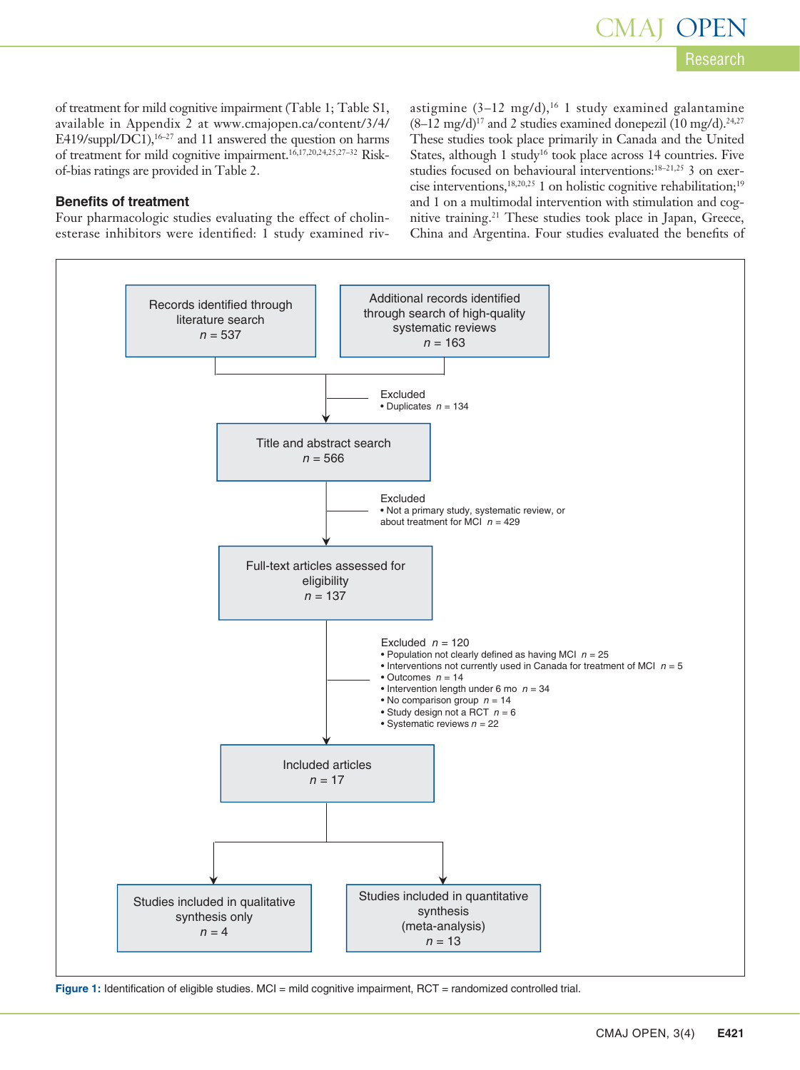of treatment for mild cognitive impairment (Table 1; Table S1, available in Appendix 2 at www.cmajopen.ca/content/3/4/ E419/suppl/DC1),<sup>16–27</sup> and 11 answered the question on harms of treatment for mild cognitive impairment.16,17,20,24,25,27–32 Riskof-bias ratings are provided in Table 2.

#### **Benefits of treatment**

Four pharmacologic studies evaluating the effect of cholinesterase inhibitors were identified: 1 study examined rivastigmine  $(3-12 \text{ mg/d})$ ,<sup>16</sup> 1 study examined galantamine  $(8-12 \text{ mg/d})^{17}$  and 2 studies examined donepezil  $(10 \text{ mg/d})^{24,27}$ These studies took place primarily in Canada and the United States, although 1 study<sup>16</sup> took place across 14 countries. Five studies focused on behavioural interventions:18–21,25 3 on exercise interventions,18,20,25 1 on holistic cognitive rehabilitation;19 and 1 on a multimodal intervention with stimulation and cognitive training.21 These studies took place in Japan, Greece, China and Argentina. Four studies evaluated the benefits of



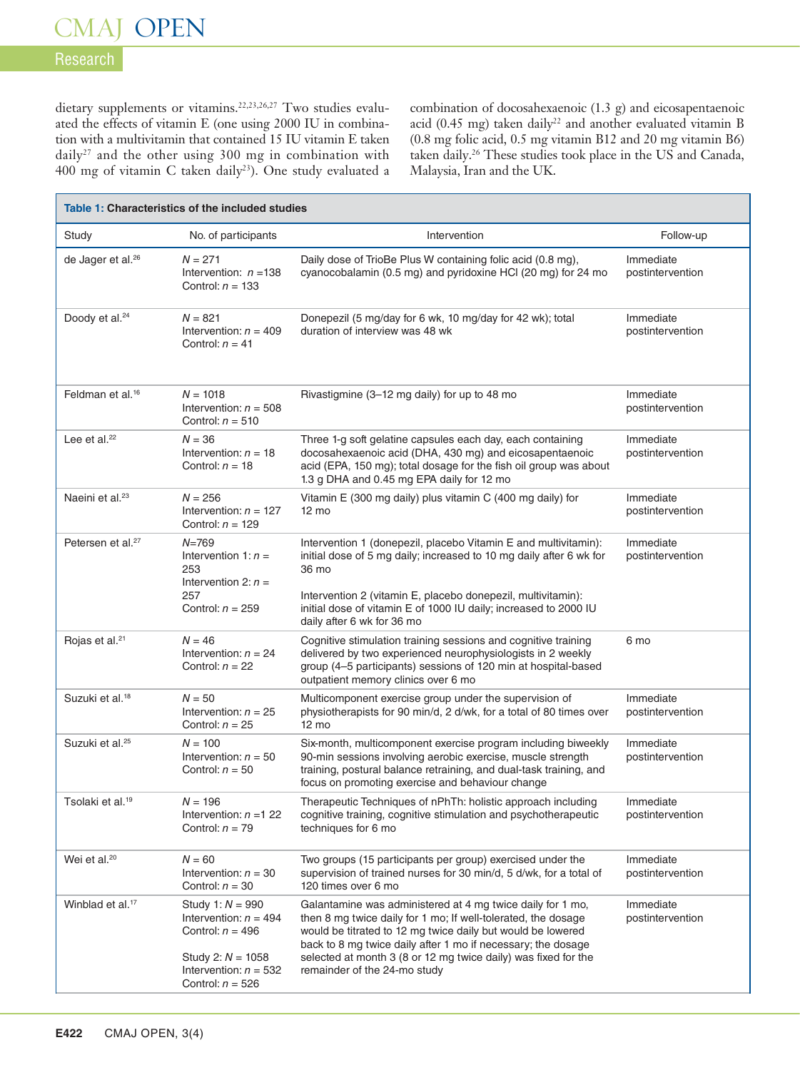# Research

dietary supplements or vitamins.<sup>22,23,26,27</sup> Two studies evaluated the effects of vitamin E (one using 2000 IU in combination with a multivitamin that contained 15 IU vitamin E taken daily<sup>27</sup> and the other using 300 mg in combination with 400 mg of vitamin C taken daily23). One study evaluated a

combination of docosahexaenoic (1.3 g) and eicosapentaenoic acid (0.45 mg) taken daily<sup>22</sup> and another evaluated vitamin B (0.8 mg folic acid, 0.5 mg vitamin B12 and 20 mg vitamin B6) taken daily.<sup>26</sup> These studies took place in the US and Canada, Malaysia, Iran and the UK.

|                               | Table 1: Characteristics of the included studies                                                                                            |                                                                                                                                                                                                                                                                                                                                                              |                               |
|-------------------------------|---------------------------------------------------------------------------------------------------------------------------------------------|--------------------------------------------------------------------------------------------------------------------------------------------------------------------------------------------------------------------------------------------------------------------------------------------------------------------------------------------------------------|-------------------------------|
| Study                         | No. of participants                                                                                                                         | Intervention                                                                                                                                                                                                                                                                                                                                                 | Follow-up                     |
| de Jager et al. <sup>26</sup> | $N = 271$<br>Intervention: $n = 138$<br>Control: $n = 133$                                                                                  | Daily dose of TrioBe Plus W containing folic acid (0.8 mg),<br>cyanocobalamin (0.5 mg) and pyridoxine HCI (20 mg) for 24 mo                                                                                                                                                                                                                                  | Immediate<br>postintervention |
| Doody et al. <sup>24</sup>    | $N = 821$<br>Intervention: $n = 409$<br>Control: $n = 41$                                                                                   | Donepezil (5 mg/day for 6 wk, 10 mg/day for 42 wk); total<br>duration of interview was 48 wk                                                                                                                                                                                                                                                                 | Immediate<br>postintervention |
| Feldman et al. <sup>16</sup>  | $N = 1018$<br>Intervention: $n = 508$<br>Control: $n = 510$                                                                                 | Rivastigmine (3–12 mg daily) for up to 48 mo                                                                                                                                                                                                                                                                                                                 | Immediate<br>postintervention |
| Lee et al. $^{22}$            | $N = 36$<br>Intervention: $n = 18$<br>Control: $n = 18$                                                                                     | Three 1-g soft gelatine capsules each day, each containing<br>docosahexaenoic acid (DHA, 430 mg) and eicosapentaenoic<br>acid (EPA, 150 mg); total dosage for the fish oil group was about<br>1.3 g DHA and 0.45 mg EPA daily for 12 mo                                                                                                                      | Immediate<br>postintervention |
| Naeini et al. <sup>23</sup>   | $N = 256$<br>Intervention: $n = 127$<br>Control: $n = 129$                                                                                  | Vitamin E (300 mg daily) plus vitamin C (400 mg daily) for<br>$12 \text{ mo}$                                                                                                                                                                                                                                                                                | Immediate<br>postintervention |
| Petersen et al. <sup>27</sup> | $N = 769$<br>Intervention 1: $n =$<br>253<br>Intervention 2: $n =$<br>257<br>Control: $n = 259$                                             | Intervention 1 (donepezil, placebo Vitamin E and multivitamin):<br>initial dose of 5 mg daily; increased to 10 mg daily after 6 wk for<br>36 mo<br>Intervention 2 (vitamin E, placebo donepezil, multivitamin):<br>initial dose of vitamin E of 1000 IU daily; increased to 2000 IU<br>daily after 6 wk for 36 mo                                            | Immediate<br>postintervention |
| Rojas et al. <sup>21</sup>    | $N = 46$<br>Intervention: $n = 24$<br>Control: $n = 22$                                                                                     | Cognitive stimulation training sessions and cognitive training<br>delivered by two experienced neurophysiologists in 2 weekly<br>group (4-5 participants) sessions of 120 min at hospital-based<br>outpatient memory clinics over 6 mo                                                                                                                       | 6 mo                          |
| Suzuki et al. <sup>18</sup>   | $N = 50$<br>Intervention: $n = 25$<br>Control: $n = 25$                                                                                     | Multicomponent exercise group under the supervision of<br>physiotherapists for 90 min/d, 2 d/wk, for a total of 80 times over<br>$12 \text{ mo}$                                                                                                                                                                                                             | Immediate<br>postintervention |
| Suzuki et al. <sup>25</sup>   | $N = 100$<br>Intervention: $n = 50$<br>Control: $n = 50$                                                                                    | Six-month, multicomponent exercise program including biweekly<br>90-min sessions involving aerobic exercise, muscle strength<br>training, postural balance retraining, and dual-task training, and<br>focus on promoting exercise and behaviour change                                                                                                       | Immediate<br>postintervention |
| Tsolaki et al. <sup>19</sup>  | $N = 196$<br>Intervention: $n = 1, 22$<br>Control: $n = 79$                                                                                 | Therapeutic Techniques of nPhTh: holistic approach including<br>cognitive training, cognitive stimulation and psychotherapeutic<br>techniques for 6 mo                                                                                                                                                                                                       | Immediate<br>postintervention |
| Wei et al. <sup>20</sup>      | $N = 60$<br>Intervention: $n = 30$<br>Control: $n = 30$                                                                                     | Two groups (15 participants per group) exercised under the<br>supervision of trained nurses for 30 min/d, 5 d/wk, for a total of<br>120 times over 6 mo                                                                                                                                                                                                      | Immediate<br>postintervention |
| Winblad et al. <sup>17</sup>  | Study 1: $N = 990$<br>Intervention: $n = 494$<br>Control: $n = 496$<br>Study 2: $N = 1058$<br>Intervention: $n = 532$<br>Control: $n = 526$ | Galantamine was administered at 4 mg twice daily for 1 mo,<br>then 8 mg twice daily for 1 mo; If well-tolerated, the dosage<br>would be titrated to 12 mg twice daily but would be lowered<br>back to 8 mg twice daily after 1 mo if necessary; the dosage<br>selected at month 3 (8 or 12 mg twice daily) was fixed for the<br>remainder of the 24-mo study | Immediate<br>postintervention |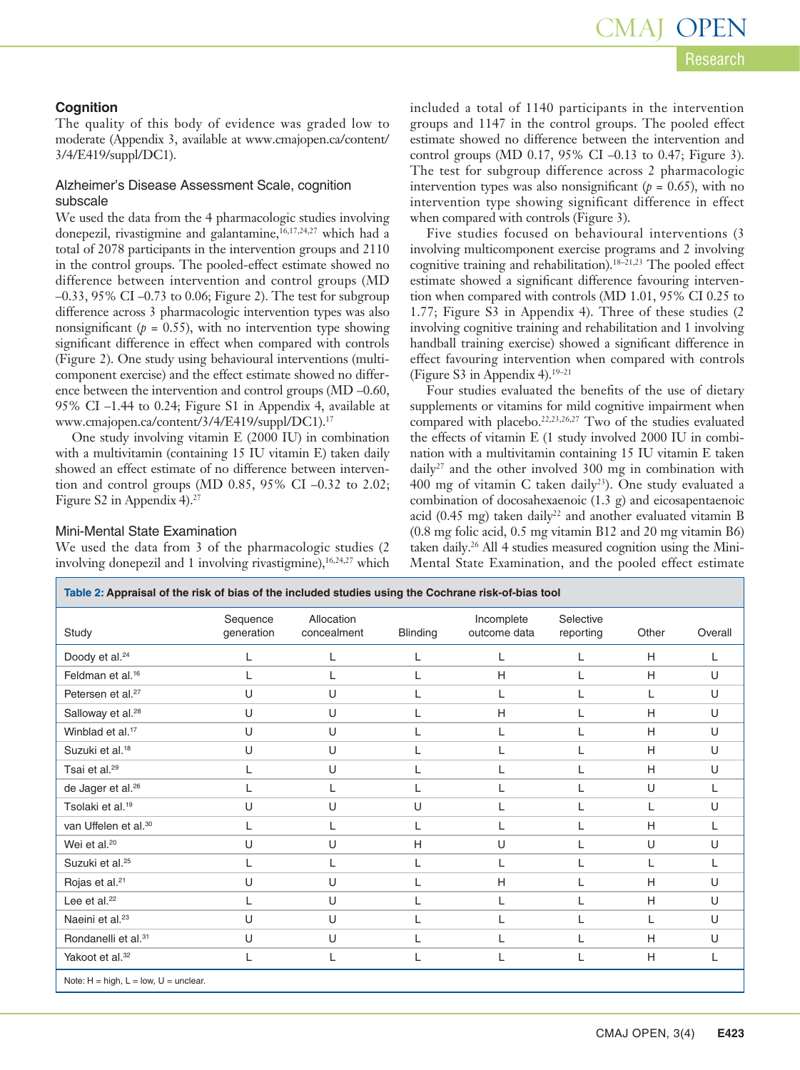#### **Cognition**

The quality of this body of evidence was graded low to moderate (Appendix 3, available at www.cmajopen.ca/content/ 3/4/E419/suppl/DC1).

#### Alzheimer's Disease Assessment Scale, cognition subscale

We used the data from the 4 pharmacologic studies involving donepezil, rivastigmine and galantamine,<sup>16,17,24,27</sup> which had a total of 2078 participants in the intervention groups and 2110 in the control groups. The pooled-effect estimate showed no difference between intervention and control groups (MD –0.33, 95% CI –0.73 to 0.06; Figure 2). The test for subgroup difference across 3 pharmacologic intervention types was also nonsignificant ( $p = 0.55$ ), with no intervention type showing significant difference in effect when compared with controls (Figure 2). One study using behavioural interventions (multicomponent exercise) and the effect estimate showed no difference between the intervention and control groups (MD –0.60, 95% CI –1.44 to 0.24; Figure S1 in Appendix 4, available at www.cmajopen.ca/content/3/4/E419/suppl/DC1).17

One study involving vitamin E (2000 IU) in combination with a multivitamin (containing 15 IU vitamin E) taken daily showed an effect estimate of no difference between intervention and control groups (MD 0.85, 95% CI –0.32 to 2.02; Figure S2 in Appendix 4).<sup>27</sup>

#### Mini-Mental State Examination

We used the data from 3 of the pharmacologic studies (2 involving donepezil and 1 involving rivastigmine),<sup>16,24,27</sup> which included a total of 1140 participants in the intervention groups and 1147 in the control groups. The pooled effect estimate showed no difference between the intervention and control groups (MD 0.17, 95% CI –0.13 to 0.47; Figure 3). The test for subgroup difference across 2 pharmacologic intervention types was also nonsignificant ( $p = 0.65$ ), with no intervention type showing significant difference in effect when compared with controls (Figure 3).

Five studies focused on behavioural interventions (3 involving multicomponent exercise programs and 2 involving cognitive training and rehabilitation).18–21,23 The pooled effect estimate showed a significant difference favouring intervention when compared with controls (MD 1.01, 95% CI 0.25 to 1.77; Figure  $\overline{S3}$  in Appendix 4). Three of these studies (2) involving cognitive training and rehabilitation and 1 involving handball training exercise) showed a significant difference in effect favouring intervention when compared with controls (Figure S3 in Appendix 4). $19-21$ 

Four studies evaluated the benefits of the use of dietary supplements or vitamins for mild cognitive impairment when compared with placebo.22,23,26,27 Two of the studies evaluated the effects of vitamin E (1 study involved 2000 IU in combination with a multivitamin containing 15 IU vitamin E taken daily<sup>27</sup> and the other involved 300 mg in combination with 400 mg of vitamin C taken daily<sup>23</sup>). One study evaluated a combination of docosahexaenoic (1.3 g) and eicosapentaenoic acid (0.45 mg) taken daily<sup>22</sup> and another evaluated vitamin B (0.8 mg folic acid, 0.5 mg vitamin B12 and 20 mg vitamin B6) taken daily.26 All 4 studies measured cognition using the Mini-Mental State Examination, and the pooled effect estimate

| Study                            | Sequence<br>generation | Allocation<br>concealment | <b>Blinding</b> | Incomplete<br>outcome data | Selective<br>reporting | Other        | Overall |
|----------------------------------|------------------------|---------------------------|-----------------|----------------------------|------------------------|--------------|---------|
| Doody et al. <sup>24</sup>       |                        | L                         |                 | L                          |                        | H            | L       |
| Feldman et al. <sup>16</sup>     |                        | L                         |                 | H                          |                        | H            | U       |
| Petersen et al. <sup>27</sup>    | $\cup$                 | U                         |                 | L                          |                        | L            | U       |
| Salloway et al. <sup>28</sup>    | $\cup$                 | U                         |                 | H                          |                        | H            | U       |
| Winblad et al. <sup>17</sup>     | U                      | U                         |                 | L                          |                        | H            | U       |
| Suzuki et al. <sup>18</sup>      | U                      | U                         |                 | L                          |                        | H            | U       |
| Tsai et al. <sup>29</sup>        |                        | U                         |                 | L                          |                        | H            | U       |
| de Jager et al. <sup>26</sup>    |                        | L                         | L               | L                          |                        | U            | L       |
| Tsolaki et al. <sup>19</sup>     | U                      | U                         | U               | L                          |                        | $\mathbf{L}$ | U       |
| van Uffelen et al. <sup>30</sup> | L                      | L                         | L               | L                          |                        | H            | L       |
| Wei et al. <sup>20</sup>         | U                      | U                         | H               | U                          |                        | U            | U       |
| Suzuki et al. <sup>25</sup>      |                        | L                         | L               | L                          |                        | L            | L       |
| Rojas et al. <sup>21</sup>       | U                      | U                         | L               | H                          |                        | H            | U       |
| Lee et al. <sup>22</sup>         | L                      | U                         | L               | L                          | L                      | H            | U       |
| Naeini et al. <sup>23</sup>      | U                      | U                         | L               | L                          | L                      |              | U       |
| Rondanelli et al. <sup>31</sup>  | $\cup$                 | U                         | L               | L                          |                        | H            | U       |
| Yakoot et al. <sup>32</sup>      |                        | L                         |                 | L                          |                        | H            | L       |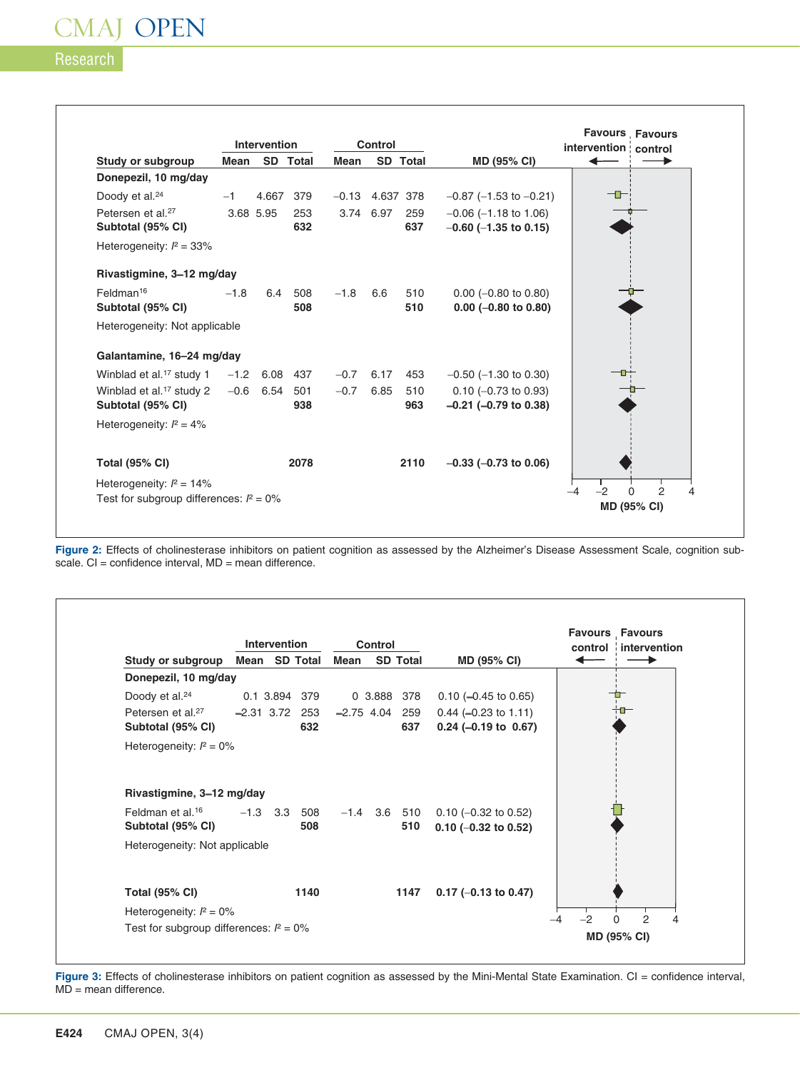# Research

 $\Gamma$ 

|                                            |        | <b>Intervention</b> |                 |                   | Control   |                 |                                | <b>Favours Favours</b><br>intervention control |
|--------------------------------------------|--------|---------------------|-----------------|-------------------|-----------|-----------------|--------------------------------|------------------------------------------------|
| Study or subgroup                          | Mean   |                     | SD Total        | Mean              |           | <b>SD</b> Total | MD (95% CI)                    |                                                |
| Donepezil, 10 mg/day                       |        |                     |                 |                   |           |                 |                                |                                                |
| Doody et al. <sup>24</sup>                 | $-1$   |                     | 4.667 379       | $-0.13$ 4.637 378 |           |                 | $-0.87$ ( $-1.53$ to $-0.21$ ) |                                                |
| Petersen et al. <sup>27</sup>              |        | 3.68 5.95           | 253             |                   | 3.74 6.97 | 259             | $-0.06$ ( $-1.18$ to 1.06)     |                                                |
| Subtotal (95% CI)                          |        |                     | 632             |                   |           | 637             | $-0.60$ ( $-1.35$ to 0.15)     |                                                |
| Heterogeneity: $l^2 = 33\%$                |        |                     |                 |                   |           |                 |                                |                                                |
| Rivastigmine, 3-12 mg/day                  |        |                     |                 |                   |           |                 |                                |                                                |
| Feldman <sup>16</sup>                      | $-1.8$ | 6.4                 | 508             | $-1.8$            | 6.6       | 510             | $0.00$ (-0.80 to 0.80)         |                                                |
| Subtotal (95% CI)                          |        |                     | 508             |                   |           | 510             | $0.00$ (-0.80 to 0.80)         |                                                |
| Heterogeneity: Not applicable              |        |                     |                 |                   |           |                 |                                |                                                |
| Galantamine, 16-24 mg/day                  |        |                     |                 |                   |           |                 |                                |                                                |
| Winblad et al. <sup>17</sup> study 1       |        | $-1.2$ 6.08 437     |                 | $-0.7$            | 6.17      | 453             | $-0.50$ ( $-1.30$ to 0.30)     |                                                |
| Winblad et al. <sup>17</sup> study 2       |        |                     | $-0.6$ 6.54 501 | $-0.7$            | 6.85      | 510             | $0.10$ (-0.73 to 0.93)         |                                                |
| Subtotal (95% CI)                          |        |                     | 938             |                   |           | 963             | $-0.21$ ( $-0.79$ to 0.38)     |                                                |
| Heterogeneity: $l^2 = 4\%$                 |        |                     |                 |                   |           |                 |                                |                                                |
| <b>Total (95% CI)</b>                      |        |                     | 2078            |                   |           | 2110            | $-0.33$ ( $-0.73$ to 0.06)     |                                                |
| Heterogeneity: $l^2 = 14\%$                |        |                     |                 |                   |           |                 |                                |                                                |
| Test for subgroup differences: $l^2 = 0\%$ |        |                     |                 |                   |           |                 |                                | $-2$<br>$\mathfrak{p}$<br>$\Omega$<br>-4       |
|                                            |        |                     |                 |                   |           |                 |                                | <b>MD (95% CI)</b>                             |

٦

Ĕ

Figure 2: Effects of cholinesterase inhibitors on patient cognition as assessed by the Alzheimer's Disease Assessment Scale, cognition subscale. CI = confidence interval, MD = mean difference.

|                                                    |                  | Intervention  |            |              | <b>Control</b> |                       |                                                                    |    | <b>Favours Favours</b><br>control intervention |
|----------------------------------------------------|------------------|---------------|------------|--------------|----------------|-----------------------|--------------------------------------------------------------------|----|------------------------------------------------|
| Study or subgroup                                  | Mean SD Total    |               |            | Mean         |                | <b>SD Total</b>       | <b>MD (95% CI)</b>                                                 |    |                                                |
| Donepezil, 10 mg/day                               |                  |               |            |              |                |                       |                                                                    |    |                                                |
| Doody et al. <sup>24</sup>                         |                  | 0.1 3.894 379 |            |              |                | 0 3.888 378           | $0.10$ (-0.45 to 0.65)                                             |    |                                                |
| Petersen et al. <sup>27</sup><br>Subtotal (95% CI) | $-2.31$ 3.72 253 |               | 632        | $-2.75$ 4.04 |                | 259<br>637            | $0.44 (-0.23 \text{ to } 1.11)$<br>$0.24 (-0.19 \text{ to } 0.67)$ |    | ┿╍                                             |
| Heterogeneity: $l^2 = 0\%$                         |                  |               |            |              |                |                       |                                                                    |    |                                                |
| Rivastigmine, 3-12 mg/day                          |                  |               |            |              |                |                       |                                                                    |    |                                                |
| Feldman et al. <sup>16</sup><br>Subtotal (95% CI)  |                  | $-1.3$ 3.3    | 508<br>508 |              |                | $-1.4$ 3.6 510<br>510 | $0.10$ (-0.32 to 0.52)<br>$0.10$ (-0.32 to 0.52)                   |    |                                                |
| Heterogeneity: Not applicable                      |                  |               |            |              |                |                       |                                                                    |    |                                                |
| <b>Total (95% CI)</b>                              |                  |               | 1140       |              |                | 1147                  | $0.17$ (-0.13 to 0.47)                                             |    |                                                |
| Heterogeneity: $l^2 = 0\%$                         |                  |               |            |              |                |                       |                                                                    | -2 | 2                                              |
| Test for subgroup differences: $l^2 = 0\%$         |                  |               |            |              |                |                       |                                                                    |    |                                                |

**Figure 3:** Effects of cholinesterase inhibitors on patient cognition as assessed by the Mini-Mental State Examination. CI = confidence interval,  $MD =$  mean difference.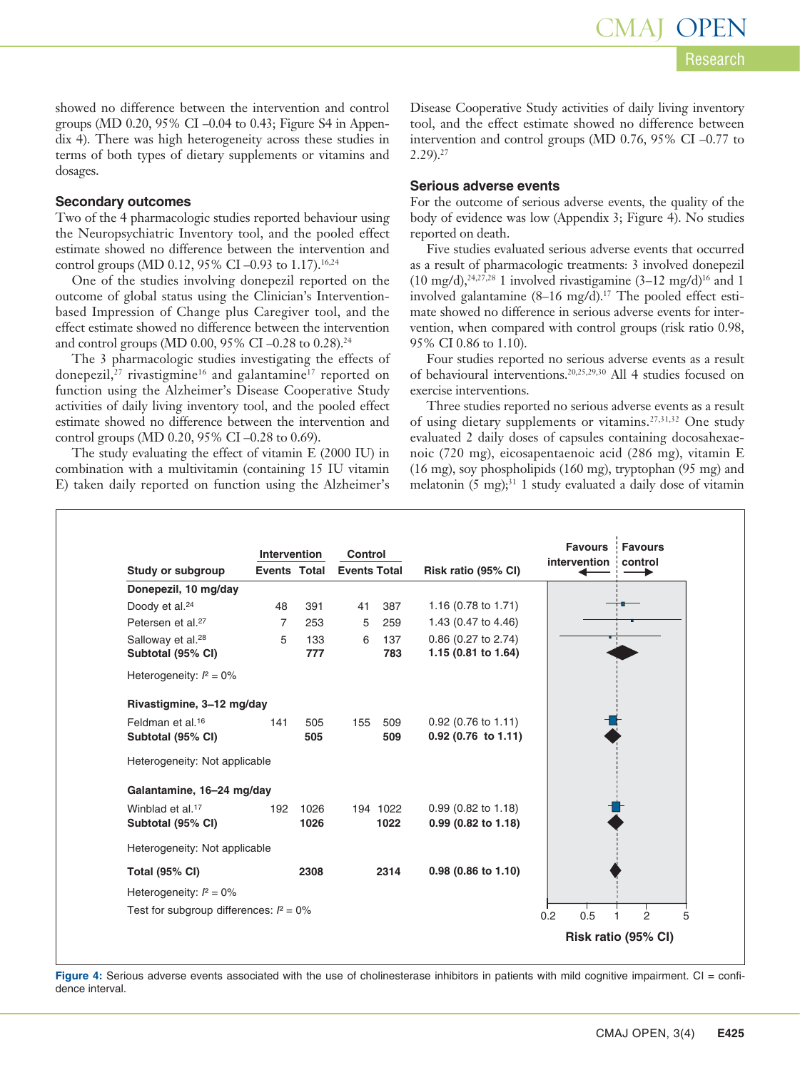showed no difference between the intervention and control groups (MD 0.20, 95% CI –0.04 to 0.43; Figure S4 in Appendix 4). There was high heterogeneity across these studies in terms of both types of dietary supplements or vitamins and dosages.

#### **Secondary outcomes**

Two of the 4 pharmacologic studies reported behaviour using the Neuropsychiatric Inventory tool, and the pooled effect estimate showed no difference between the intervention and control groups (MD 0.12, 95% CI -0.93 to 1.17).<sup>16,24</sup>

One of the studies involving donepezil reported on the outcome of global status using the Clinician's Interventionbased Impression of Change plus Caregiver tool, and the effect estimate showed no difference between the intervention and control groups (MD 0.00, 95% CI -0.28 to 0.28).<sup>24</sup>

The 3 pharmacologic studies investigating the effects of donepezil,<sup>27</sup> rivastigmine<sup>16</sup> and galantamine<sup>17</sup> reported on function using the Alzheimer's Disease Cooperative Study activities of daily living inventory tool, and the pooled effect estimate showed no difference between the intervention and control groups (MD 0.20, 95% CI –0.28 to 0.69).

The study evaluating the effect of vitamin E (2000 IU) in combination with a multivitamin (containing 15 IU vitamin E) taken daily reported on function using the Alzheimer's Disease Cooperative Study activities of daily living inventory tool, and the effect estimate showed no difference between intervention and control groups (MD 0.76, 95% CI –0.77 to  $2.29$ ).<sup>27</sup>

#### **Serious adverse events**

For the outcome of serious adverse events, the quality of the body of evidence was low (Appendix 3; Figure 4). No studies reported on death.

Five studies evaluated serious adverse events that occurred as a result of pharmacologic treatments: 3 involved donepezil  $(10 \text{ mg/d})$ ,<sup>24,27,28</sup> 1 involved rivastigamine  $(3-12 \text{ mg/d})^{16}$  and 1 involved galantamine  $(8-16 \text{ mg/d})$ .<sup>17</sup> The pooled effect estimate showed no difference in serious adverse events for intervention, when compared with control groups (risk ratio 0.98, 95% CI 0.86 to 1.10).

Four studies reported no serious adverse events as a result of behavioural interventions.20,25,29,30 All 4 studies focused on exercise interventions.

Three studies reported no serious adverse events as a result of using dietary supplements or vitamins.27,31,32 One study evaluated 2 daily doses of capsules containing docosahexaenoic (720 mg), eicosapentaenoic acid (286 mg), vitamin E (16 mg), soy phospholipids (160 mg), tryptophan (95 mg) and melatonin  $(5 \text{ mg})$ ;<sup>31</sup> 1 study evaluated a daily dose of vitamin

|                                            | Intervention        |      | <b>Control</b><br><b>Events Total</b> |          |                       | <b>Favours</b> | Favours<br>intervention control |
|--------------------------------------------|---------------------|------|---------------------------------------|----------|-----------------------|----------------|---------------------------------|
| Study or subgroup                          | <b>Events Total</b> |      |                                       |          | Risk ratio (95% CI)   |                |                                 |
| Donepezil, 10 mg/day                       |                     |      |                                       |          |                       |                |                                 |
| Doody et al. <sup>24</sup>                 | 48                  | 391  | 41                                    | 387      | 1.16 (0.78 to 1.71)   |                |                                 |
| Petersen et al. <sup>27</sup>              | $\overline{7}$      | 253  | 5                                     | 259      | 1.43 (0.47 to 4.46)   |                |                                 |
| Salloway et al. <sup>28</sup>              | 5                   | 133  | 6                                     | 137      | 0.86 (0.27 to 2.74)   |                |                                 |
| Subtotal (95% CI)                          |                     | 777  |                                       | 783      | 1.15 (0.81 to 1.64)   |                |                                 |
| Heterogeneity: $l^2 = 0\%$                 |                     |      |                                       |          |                       |                |                                 |
| Rivastigmine, 3-12 mg/day                  |                     |      |                                       |          |                       |                |                                 |
| Feldman et al. <sup>16</sup>               | 141                 | 505  | 155                                   | 509      | 0.92 (0.76 to 1.11)   |                |                                 |
| Subtotal (95% CI)                          |                     | 505  |                                       | 509      | $0.92$ (0.76 to 1.11) |                |                                 |
| Heterogeneity: Not applicable              |                     |      |                                       |          |                       |                |                                 |
| Galantamine, 16-24 mg/day                  |                     |      |                                       |          |                       |                |                                 |
| Winblad et al. <sup>17</sup>               | 192                 | 1026 |                                       | 194 1022 | $0.99$ (0.82 to 1.18) |                |                                 |
| Subtotal (95% CI)                          |                     | 1026 |                                       | 1022     | $0.99$ (0.82 to 1.18) |                |                                 |
| Heterogeneity: Not applicable              |                     |      |                                       |          |                       |                |                                 |
| <b>Total (95% CI)</b>                      |                     | 2308 |                                       | 2314     | 0.98 (0.86 to 1.10)   |                |                                 |
| Heterogeneity: $l^2 = 0\%$                 |                     |      |                                       |          |                       |                |                                 |
| Test for subgroup differences: $l^2 = 0\%$ |                     |      |                                       |          |                       | 0.5<br>0.2     | $\overline{2}$                  |
|                                            |                     |      |                                       |          |                       |                | Risk ratio (95% CI)             |

Figure 4: Serious adverse events associated with the use of cholinesterase inhibitors in patients with mild cognitive impairment. CI = confidence interval.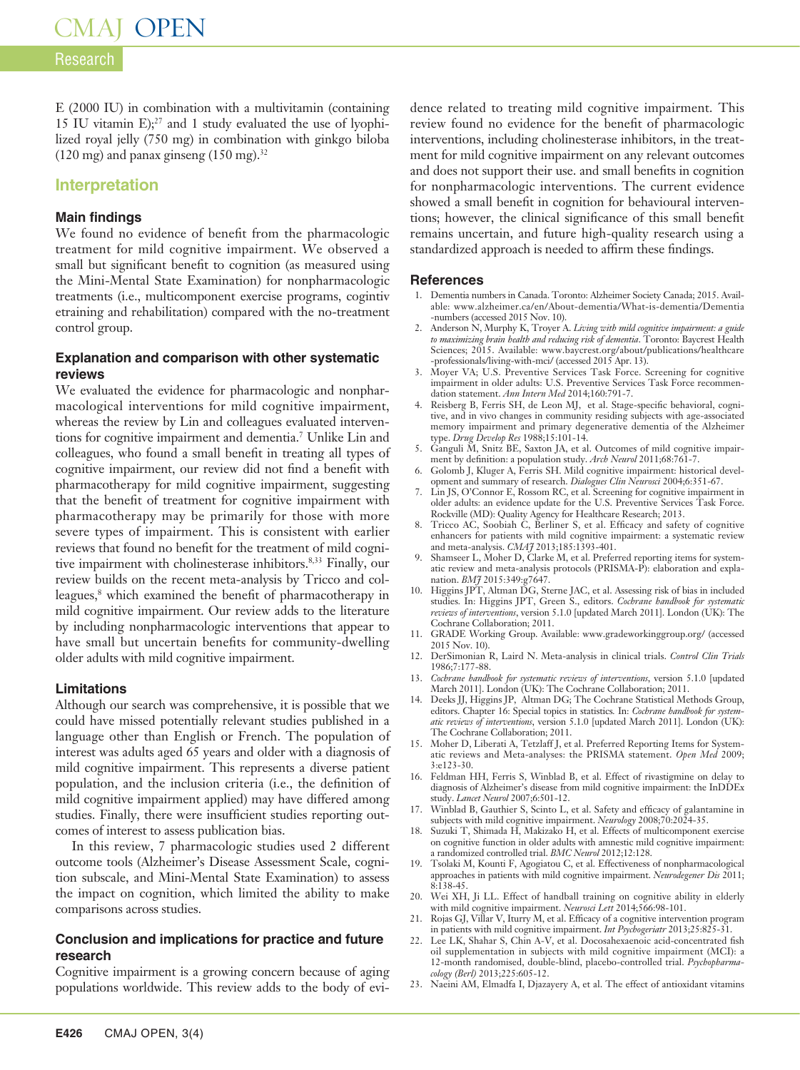# Research

E (2000 IU) in combination with a multivitamin (containing 15 IU vitamin  $E$ );<sup>27</sup> and 1 study evaluated the use of lyophilized royal jelly (750 mg) in combination with ginkgo biloba  $(120 \text{ mg})$  and panax ginseng  $(150 \text{ mg})$ .<sup>32</sup>

#### **Interpretation**

#### **Main findings**

We found no evidence of benefit from the pharmacologic treatment for mild cognitive impairment. We observed a small but significant benefit to cognition (as measured using the Mini-Mental State Examination) for nonpharmacologic treatments (i.e., multicomponent exercise programs, cogintiv etraining and rehabilitation) compared with the no-treatment control group.

#### **Explanation and comparison with other systematic reviews**

We evaluated the evidence for pharmacologic and nonpharmacological interventions for mild cognitive impairment, whereas the review by Lin and colleagues evaluated interventions for cognitive impairment and dementia.7 Unlike Lin and colleagues, who found a small benefit in treating all types of cognitive impairment, our review did not find a benefit with pharmacotherapy for mild cognitive impairment, suggesting that the benefit of treatment for cognitive impairment with pharmacotherapy may be primarily for those with more severe types of impairment. This is consistent with earlier reviews that found no benefit for the treatment of mild cognitive impairment with cholinesterase inhibitors.<sup>8,33</sup> Finally, our review builds on the recent meta-analysis by Tricco and colleagues,<sup>8</sup> which examined the benefit of pharmacotherapy in mild cognitive impairment. Our review adds to the literature by including nonpharmacologic interventions that appear to have small but uncertain benefits for community-dwelling older adults with mild cognitive impairment.

#### **Limitations**

Although our search was comprehensive, it is possible that we could have missed potentially relevant studies published in a language other than English or French. The population of interest was adults aged 65 years and older with a diagnosis of mild cognitive impairment. This represents a diverse patient population, and the inclusion criteria (i.e., the definition of mild cognitive impairment applied) may have differed among studies. Finally, there were insufficient studies reporting outcomes of interest to assess publication bias.

In this review, 7 pharmacologic studies used 2 different outcome tools (Alzheimer's Disease Assessment Scale, cognition subscale, and Mini-Mental State Examination) to assess the impact on cognition, which limited the ability to make comparisons across studies.

#### **Conclusion and implications for practice and future research**

Cognitive impairment is a growing concern because of aging populations worldwide. This review adds to the body of evidence related to treating mild cognitive impairment. This review found no evidence for the benefit of pharmacologic interventions, including cholinesterase inhibitors, in the treatment for mild cognitive impairment on any relevant outcomes and does not support their use. and small benefits in cognition for nonpharmacologic interventions. The current evidence showed a small benefit in cognition for behavioural interventions; however, the clinical significance of this small benefit remains uncertain, and future high-quality research using a standardized approach is needed to affirm these findings.

#### **References**

- 1. Dementia numbers in Canada. Toronto: Alzheimer Society Canada; 2015. Available: www.alzheimer.ca/en/About-dementia/What-is-dementia/Dementia -numbers (accessed 2015 Nov. 10).
- 2. Anderson N, Murphy K, Troyer A. *Living with mild cognitive impairment: a guide to maximizing brain health and reducing risk of dementia*. Toronto: Baycrest Health Sciences; 2015. Available: www.baycrest.org/about/publications/healthcare -professionals/living-with-mci/ (accessed 2015 Apr. 13).
- 3. Moyer VA; U.S. Preventive Services Task Force. Screening for cognitive impairment in older adults: U.S. Preventive Services Task Force recommendation statement. *Ann Intern Med* 2014;160:791-7.
- 4. Reisberg B, Ferris SH, de Leon MJ, et al. Stage-specific behavioral, cognitive, and in vivo changes in community residing subjects with age-associated memory impairment and primary degenerative dementia of the Alzheimer type. *Drug Develop Res* 1988;15:101-14.
- 5. Ganguli M, Snitz BE, Saxton JA, et al. Outcomes of mild cognitive impairment by definition: a population study. *Arch Neurol* 2011;68:761-7.
- 6. Golomb J, Kluger A, Ferris SH. Mild cognitive impairment: historical development and summary of research. *Dialogues Clin Neurosci* 2004;6:351-67.
- 7. Lin JS, O'Connor E, Rossom RC, et al. Screening for cognitive impairment in older adults: an evidence update for the U.S. Preventive Services Task Force. Rockville (MD): Quality Agency for Healthcare Research; 2013.
- 8. Tricco AC, Soobiah C, Berliner S, et al. Efficacy and safety of cognitive enhancers for patients with mild cognitive impairment: a systematic review and meta-analysis. *CMAJ* 2013;185:1393-401.
- 9. Shamseer L, Moher D, Clarke M, et al. Preferred reporting items for systematic review and meta-analysis protocols (PRISMA-P): elaboration and explanation. *BMJ* 2015:349:g7647.
- 10. Higgins JPT, Altman DG, Sterne JAC, et al. Assessing risk of bias in included studies*.* In: Higgins JPT, Green S., editors. *Cochrane handbook for systematic reviews of interventions*, version 5.1.0 [updated March 2011]. London (UK): The Cochrane Collaboration; 2011.
- 11. GRADE Working Group. Available: www.gradeworkinggroup.org/ (accessed 2015 Nov. 10).
- 12. DerSimonian R, Laird N. Meta-analysis in clinical trials. *Control Clin Trials* 1986;7:177-88.
- 13. *Cochrane handbook for systematic reviews of interventions*, version 5.1.0 [updated March 2011]. London (UK): The Cochrane Collaboration; 2011.
- 14. Deeks JJ, Higgins JP, Altman DG; The Cochrane Statistical Methods Group, editors. Chapter 16: Special topics in statistics*.* In: *Cochrane handbook for systematic reviews of interventions*, version 5.1.0 [updated March 2011]. London (UK): The Cochrane Collaboration; 2011.
- 15. Moher D, Liberati A, Tetzlaff J, et al. Preferred Reporting Items for Systematic reviews and Meta-analyses: the PRISMA statement. *Open Med* 2009; 3:e123-30.
- 16. Feldman HH, Ferris S, Winblad B, et al. Effect of rivastigmine on delay to diagnosis of Alzheimer's disease from mild cognitive impairment: the InDDEx study. *Lancet Neurol* 2007;6:501-12.
- 17. Winblad B, Gauthier S, Scinto L, et al. Safety and efficacy of galantamine in subjects with mild cognitive impairment. *Neurology* 2008;70:2024-35.
- 18. Suzuki T, Shimada H, Makizako H, et al. Effects of multicomponent exercise on cognitive function in older adults with amnestic mild cognitive impairment: a randomized controlled trial. *BMC Neurol* 2012;12:128.
- 19. Tsolaki M, Kounti F, Agogiatou C, et al. Effectiveness of nonpharmacological approaches in patients with mild cognitive impairment. *Neurodegener Dis* 2011; 8:138-45.
- 20. Wei XH, Ji LL. Effect of handball training on cognitive ability in elderly with mild cognitive impairment. *Neurosci Lett* 2014;566:98-101.
- 21. Rojas GJ, Villar V, Iturry M, et al. Efficacy of a cognitive intervention program in patients with mild cognitive impairment. *Int Psychogeriatr* 2013;25:825-31.
- 22. Lee LK, Shahar S, Chin A-V, et al. Docosahexaenoic acid-concentrated fish oil supplementation in subjects with mild cognitive impairment (MCI): a 12-month randomised, double-blind, placebo-controlled trial. *Psychopharmacology (Berl)* 2013;225:605-12.
- 23. Naeini AM, Elmadfa I, Djazayery A, et al. The effect of antioxidant vitamins